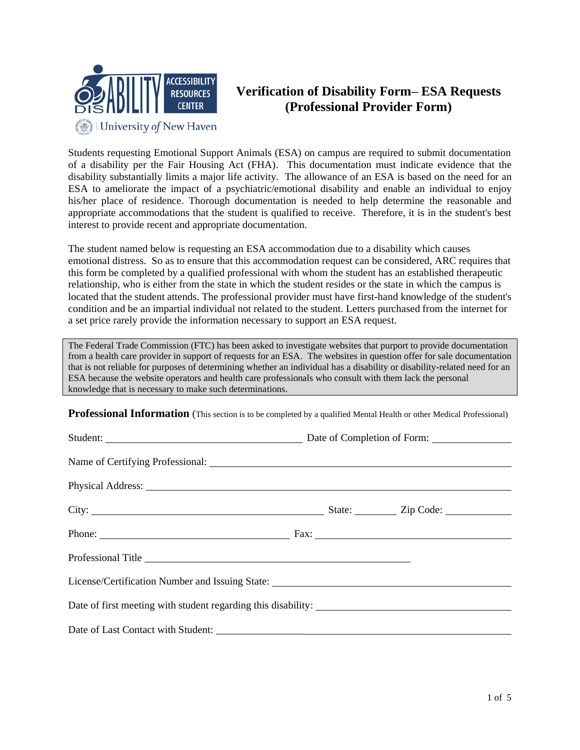

## **Verification of Disability Form– ESA Requests (Professional Provider Form)**

Students requesting Emotional Support Animals (ESA) on campus are required to submit documentation of a disability per the Fair Housing Act (FHA). This documentation must indicate evidence that the disability substantially limits a major life activity. The allowance of an ESA is based on the need for an ESA to ameliorate the impact of a psychiatric/emotional disability and enable an individual to enjoy his/her place of residence. Thorough documentation is needed to help determine the reasonable and appropriate accommodations that the student is qualified to receive. Therefore, it is in the student's best interest to provide recent and appropriate documentation.

The student named below is requesting an ESA accommodation due to a disability which causes emotional distress. So as to ensure that this accommodation request can be considered, ARC requires that this form be completed by a qualified professional with whom the student has an established therapeutic relationship, who is either from the state in which the student resides or the state in which the campus is located that the student attends. The professional provider must have first-hand knowledge of the student's condition and be an impartial individual not related to the student. Letters purchased from the internet for a set price rarely provide the information necessary to support an ESA request.

The Federal Trade Commission (FTC) has been asked to investigate websites that purport to provide documentation from a health care provider in support of requests for an ESA. The websites in question offer for sale documentation that is not reliable for purposes of determining whether an individual has a disability or disability-related need for an ESA because the website operators and health care professionals who consult with them lack the personal knowledge that is necessary to make such determinations.

**Professional Information** (This section is to be completed by a qualified Mental Health or other Medical Professional)

| Student: <u>Number of Completion of Form:</u> Date of Completion of Form:         |  |  |  |  |
|-----------------------------------------------------------------------------------|--|--|--|--|
|                                                                                   |  |  |  |  |
|                                                                                   |  |  |  |  |
|                                                                                   |  |  |  |  |
| Phone: Fax:                                                                       |  |  |  |  |
|                                                                                   |  |  |  |  |
| License/Certification Number and Issuing State: _________________________________ |  |  |  |  |
| Date of first meeting with student regarding this disability:                     |  |  |  |  |
|                                                                                   |  |  |  |  |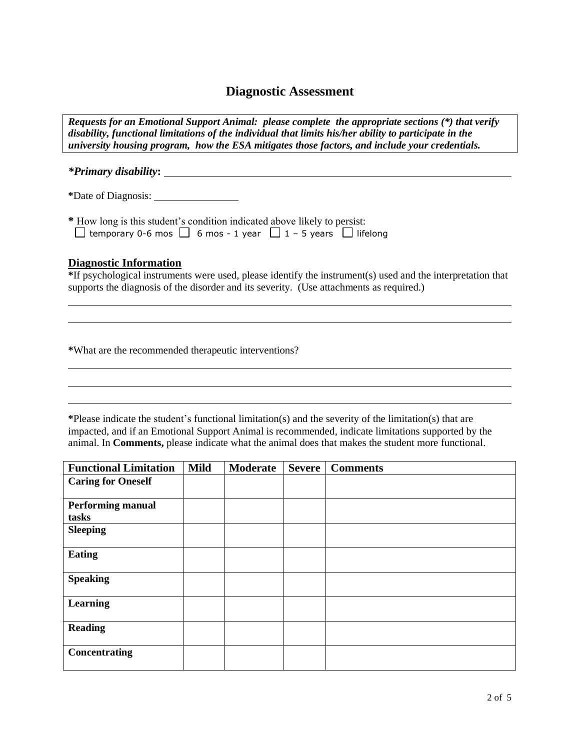## **Diagnostic Assessment**

*Requests for an Emotional Support Animal: please complete the appropriate sections (\*) that verify disability, functional limitations of the individual that limits his/her ability to participate in the university housing program, how the ESA mitigates those factors, and include your credentials.*

*\*Primary disability***:**

**\***Date of Diagnosis:

**\*** How long is this student's condition indicated above likely to persist:  $\Box$  temporary 0-6 mos  $\Box$  6 mos - 1 year  $\Box$  1 – 5 years  $\Box$  lifelong

## **Diagnostic Information**

**\***If psychological instruments were used, please identify the instrument(s) used and the interpretation that supports the diagnosis of the disorder and its severity. (Use attachments as required.)

**\***What are the recommended therapeutic interventions?

**\***Please indicate the student's functional limitation(s) and the severity of the limitation(s) that are impacted, and if an Emotional Support Animal is recommended, indicate limitations supported by the animal. In **Comments,** please indicate what the animal does that makes the student more functional.

| <b>Functional Limitation</b> | <b>Mild</b> | Moderate | <b>Severe</b> | <b>Comments</b> |
|------------------------------|-------------|----------|---------------|-----------------|
| <b>Caring for Oneself</b>    |             |          |               |                 |
|                              |             |          |               |                 |
| <b>Performing manual</b>     |             |          |               |                 |
| tasks                        |             |          |               |                 |
| <b>Sleeping</b>              |             |          |               |                 |
|                              |             |          |               |                 |
| <b>Eating</b>                |             |          |               |                 |
|                              |             |          |               |                 |
| <b>Speaking</b>              |             |          |               |                 |
|                              |             |          |               |                 |
| Learning                     |             |          |               |                 |
|                              |             |          |               |                 |
| <b>Reading</b>               |             |          |               |                 |
|                              |             |          |               |                 |
| Concentrating                |             |          |               |                 |
|                              |             |          |               |                 |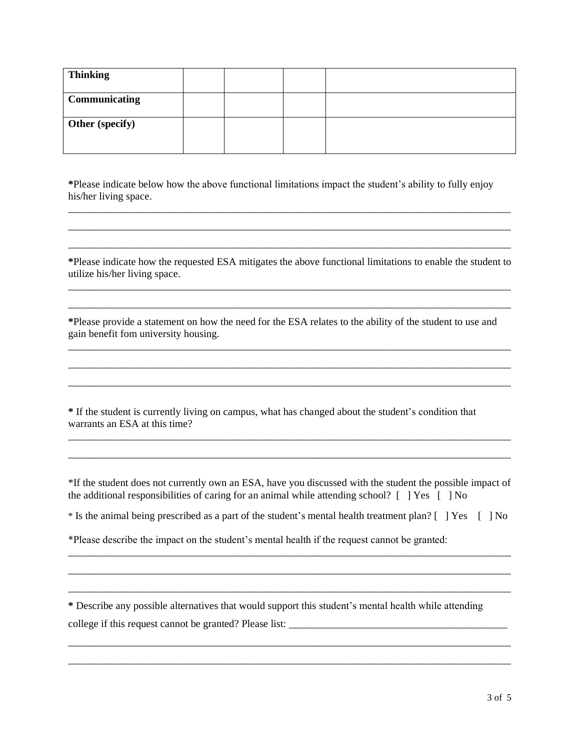| <b>Thinking</b>      |  |  |
|----------------------|--|--|
| <b>Communicating</b> |  |  |
| Other (specify)      |  |  |

**\***Please indicate below how the above functional limitations impact the student's ability to fully enjoy his/her living space.

\_\_\_\_\_\_\_\_\_\_\_\_\_\_\_\_\_\_\_\_\_\_\_\_\_\_\_\_\_\_\_\_\_\_\_\_\_\_\_\_\_\_\_\_\_\_\_\_\_\_\_\_\_\_\_\_\_\_\_\_\_\_\_\_\_\_\_\_\_\_\_\_\_\_\_\_\_\_\_\_\_\_\_\_\_ \_\_\_\_\_\_\_\_\_\_\_\_\_\_\_\_\_\_\_\_\_\_\_\_\_\_\_\_\_\_\_\_\_\_\_\_\_\_\_\_\_\_\_\_\_\_\_\_\_\_\_\_\_\_\_\_\_\_\_\_\_\_\_\_\_\_\_\_\_\_\_\_\_\_\_\_\_\_\_\_\_\_\_\_\_ \_\_\_\_\_\_\_\_\_\_\_\_\_\_\_\_\_\_\_\_\_\_\_\_\_\_\_\_\_\_\_\_\_\_\_\_\_\_\_\_\_\_\_\_\_\_\_\_\_\_\_\_\_\_\_\_\_\_\_\_\_\_\_\_\_\_\_\_\_\_\_\_\_\_\_\_\_\_\_\_\_\_\_\_\_

**\***Please indicate how the requested ESA mitigates the above functional limitations to enable the student to utilize his/her living space. \_\_\_\_\_\_\_\_\_\_\_\_\_\_\_\_\_\_\_\_\_\_\_\_\_\_\_\_\_\_\_\_\_\_\_\_\_\_\_\_\_\_\_\_\_\_\_\_\_\_\_\_\_\_\_\_\_\_\_\_\_\_\_\_\_\_\_\_\_\_\_\_\_\_\_\_\_\_\_\_\_\_\_\_\_

\_\_\_\_\_\_\_\_\_\_\_\_\_\_\_\_\_\_\_\_\_\_\_\_\_\_\_\_\_\_\_\_\_\_\_\_\_\_\_\_\_\_\_\_\_\_\_\_\_\_\_\_\_\_\_\_\_\_\_\_\_\_\_\_\_\_\_\_\_\_\_\_\_\_\_\_\_\_\_\_\_\_\_\_\_

\_\_\_\_\_\_\_\_\_\_\_\_\_\_\_\_\_\_\_\_\_\_\_\_\_\_\_\_\_\_\_\_\_\_\_\_\_\_\_\_\_\_\_\_\_\_\_\_\_\_\_\_\_\_\_\_\_\_\_\_\_\_\_\_\_\_\_\_\_\_\_\_\_\_\_\_\_\_\_\_\_\_\_\_\_ \_\_\_\_\_\_\_\_\_\_\_\_\_\_\_\_\_\_\_\_\_\_\_\_\_\_\_\_\_\_\_\_\_\_\_\_\_\_\_\_\_\_\_\_\_\_\_\_\_\_\_\_\_\_\_\_\_\_\_\_\_\_\_\_\_\_\_\_\_\_\_\_\_\_\_\_\_\_\_\_\_\_\_\_\_ \_\_\_\_\_\_\_\_\_\_\_\_\_\_\_\_\_\_\_\_\_\_\_\_\_\_\_\_\_\_\_\_\_\_\_\_\_\_\_\_\_\_\_\_\_\_\_\_\_\_\_\_\_\_\_\_\_\_\_\_\_\_\_\_\_\_\_\_\_\_\_\_\_\_\_\_\_\_\_\_\_\_\_\_\_

**\***Please provide a statement on how the need for the ESA relates to the ability of the student to use and gain benefit fom university housing.

**\*** If the student is currently living on campus, what has changed about the student's condition that warrants an ESA at this time?

\*If the student does not currently own an ESA, have you discussed with the student the possible impact of the additional responsibilities of caring for an animal while attending school? [ ] Yes [ ] No

\_\_\_\_\_\_\_\_\_\_\_\_\_\_\_\_\_\_\_\_\_\_\_\_\_\_\_\_\_\_\_\_\_\_\_\_\_\_\_\_\_\_\_\_\_\_\_\_\_\_\_\_\_\_\_\_\_\_\_\_\_\_\_\_\_\_\_\_\_\_\_\_\_\_\_\_\_\_\_\_\_\_\_\_\_ \_\_\_\_\_\_\_\_\_\_\_\_\_\_\_\_\_\_\_\_\_\_\_\_\_\_\_\_\_\_\_\_\_\_\_\_\_\_\_\_\_\_\_\_\_\_\_\_\_\_\_\_\_\_\_\_\_\_\_\_\_\_\_\_\_\_\_\_\_\_\_\_\_\_\_\_\_\_\_\_\_\_\_\_\_

\* Is the animal being prescribed as a part of the student's mental health treatment plan? [ ] Yes [ ] No

\_\_\_\_\_\_\_\_\_\_\_\_\_\_\_\_\_\_\_\_\_\_\_\_\_\_\_\_\_\_\_\_\_\_\_\_\_\_\_\_\_\_\_\_\_\_\_\_\_\_\_\_\_\_\_\_\_\_\_\_\_\_\_\_\_\_\_\_\_\_\_\_\_\_\_\_\_\_\_\_\_\_\_\_\_ \_\_\_\_\_\_\_\_\_\_\_\_\_\_\_\_\_\_\_\_\_\_\_\_\_\_\_\_\_\_\_\_\_\_\_\_\_\_\_\_\_\_\_\_\_\_\_\_\_\_\_\_\_\_\_\_\_\_\_\_\_\_\_\_\_\_\_\_\_\_\_\_\_\_\_\_\_\_\_\_\_\_\_\_\_ \_\_\_\_\_\_\_\_\_\_\_\_\_\_\_\_\_\_\_\_\_\_\_\_\_\_\_\_\_\_\_\_\_\_\_\_\_\_\_\_\_\_\_\_\_\_\_\_\_\_\_\_\_\_\_\_\_\_\_\_\_\_\_\_\_\_\_\_\_\_\_\_\_\_\_\_\_\_\_\_\_\_\_\_\_

\_\_\_\_\_\_\_\_\_\_\_\_\_\_\_\_\_\_\_\_\_\_\_\_\_\_\_\_\_\_\_\_\_\_\_\_\_\_\_\_\_\_\_\_\_\_\_\_\_\_\_\_\_\_\_\_\_\_\_\_\_\_\_\_\_\_\_\_\_\_\_\_\_\_\_\_\_\_\_\_\_\_\_\_\_ \_\_\_\_\_\_\_\_\_\_\_\_\_\_\_\_\_\_\_\_\_\_\_\_\_\_\_\_\_\_\_\_\_\_\_\_\_\_\_\_\_\_\_\_\_\_\_\_\_\_\_\_\_\_\_\_\_\_\_\_\_\_\_\_\_\_\_\_\_\_\_\_\_\_\_\_\_\_\_\_\_\_\_\_\_

\*Please describe the impact on the student's mental health if the request cannot be granted:

**\*** Describe any possible alternatives that would support this student's mental health while attending college if this request cannot be granted? Please list: \_\_\_\_\_\_\_\_\_\_\_\_\_\_\_\_\_\_\_\_\_\_\_\_\_\_\_\_\_\_\_\_\_\_\_\_\_\_\_\_\_\_